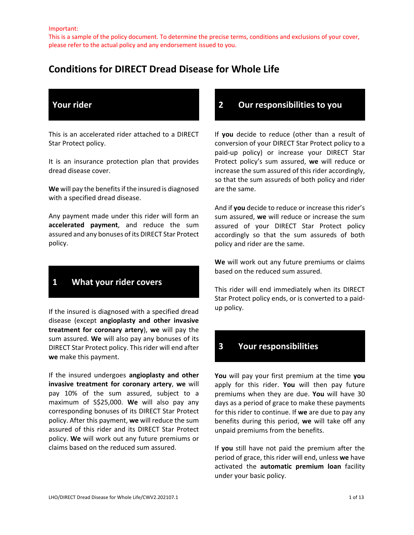This is a sample of the policy document. To determine the precise terms, conditions and exclusions of your cover, please refer to the actual policy and any endorsement issued to you.

# **Conditions for DIRECT Dread Disease for Whole Life**

## **Your rider**

This is an accelerated rider attached to a DIRECT Star Protect policy.

It is an insurance protection plan that provides dread disease cover.

**We** will pay the benefits if the insured is diagnosed with a specified dread disease.

Any payment made under this rider will form an **accelerated payment**, and reduce the sum assured and any bonuses of its DIRECT Star Protect policy.

## **1 What your rider covers**

If the insured is diagnosed with a specified dread disease (except **angioplasty and other invasive treatment for coronary artery**), **we** will pay the sum assured. **We** will also pay any bonuses of its DIRECT Star Protect policy. This rider will end after **we** make this payment.

If the insured undergoes **angioplasty and other invasive treatment for coronary artery**, **we** will pay 10% of the sum assured, subject to a maximum of S\$25,000. **We** will also pay any corresponding bonuses of its DIRECT Star Protect policy. After this payment, **we** will reduce the sum assured of this rider and its DIRECT Star Protect policy. **We** will work out any future premiums or claims based on the reduced sum assured.

### **2 Our responsibilities to you**

If **you** decide to reduce (other than a result of conversion of your DIRECT Star Protect policy to a paid-up policy) or increase your DIRECT Star Protect policy's sum assured, **we** will reduce or increase the sum assured of this rider accordingly, so that the sum assureds of both policy and rider are the same.

And if **you** decide to reduce or increase this rider's sum assured, **we** will reduce or increase the sum assured of your DIRECT Star Protect policy accordingly so that the sum assureds of both policy and rider are the same.

**We** will work out any future premiums or claims based on the reduced sum assured.

This rider will end immediately when its DIRECT Star Protect policy ends, or is converted to a paidup policy.

## **3 Your responsibilities**

**You** will pay your first premium at the time **you**  apply for this rider. **You** will then pay future premiums when they are due. **You** will have 30 days as a period of grace to make these payments for this rider to continue. If **we** are due to pay any benefits during this period, **we** will take off any unpaid premiums from the benefits.

If **you** still have not paid the premium after the period of grace, this rider will end, unless **we** have activated the **automatic premium loan** facility under your basic policy.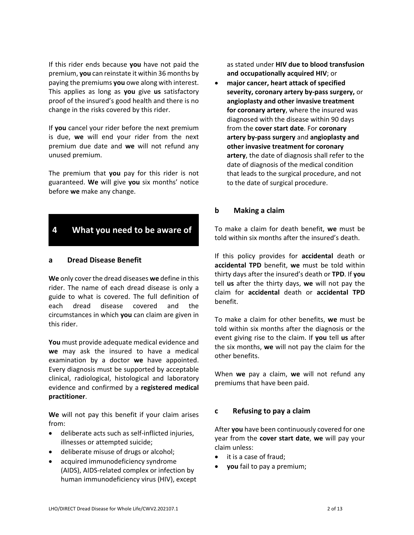If this rider ends because **you** have not paid the premium, **you** can reinstate it within 36 months by paying the premiums **you** owe along with interest. This applies as long as **you** give **us** satisfactory proof of the insured's good health and there is no change in the risks covered by this rider.

If **you** cancel your rider before the next premium is due, **we** will end your rider from the next premium due date and **we** will not refund any unused premium.

The premium that **you** pay for this rider is not guaranteed. **We** will give **you** six months' notice before **we** make any change.

### **4 What you need to be aware of**

#### **a Dread Disease Benefit**

**We** only cover the dread diseases **we** define in this rider. The name of each dread disease is only a guide to what is covered. The full definition of each dread disease covered and the circumstances in which **you** can claim are given in this rider.

**You** must provide adequate medical evidence and **we** may ask the insured to have a medical examination by a doctor **we** have appointed. Every diagnosis must be supported by acceptable clinical, radiological, histological and laboratory evidence and confirmed by a **registered medical practitioner**.

**We** will not pay this benefit if your claim arises from:

- deliberate acts such as self-inflicted injuries, illnesses or attempted suicide;
- deliberate misuse of drugs or alcohol;
- acquired immunodeficiency syndrome (AIDS), AIDS-related complex or infection by human immunodeficiency virus (HIV), except

as stated under **HIV due to blood transfusion and occupationally acquired HIV**; or

 **major cancer, heart attack of specified severity, coronary artery by-pass surgery,** or **angioplasty and other invasive treatment for coronary artery**, where the insured was diagnosed with the disease within 90 days from the **cover start date**. For **coronary artery by-pass surgery** and **angioplasty and other invasive treatment for coronary artery**, the date of diagnosis shall refer to the date of diagnosis of the medical condition that leads to the surgical procedure, and not to the date of surgical procedure.

#### **b Making a claim**

To make a claim for death benefit, **we** must be told within six months after the insured's death.

If this policy provides for **accidental** death or **accidental TPD** benefit, **we** must be told within thirty days after the insured's death or **TPD**. If **you** tell **us** after the thirty days, **we** will not pay the claim for **accidental** death or **accidental TPD** benefit.

To make a claim for other benefits, **we** must be told within six months after the diagnosis or the event giving rise to the claim. If **you** tell **us** after the six months, **we** will not pay the claim for the other benefits.

When **we** pay a claim, **we** will not refund any premiums that have been paid.

#### **c Refusing to pay a claim**

After **you** have been continuously covered for one year from the **cover start date**, **we** will pay your claim unless:

- it is a case of fraud;
- **you** fail to pay a premium;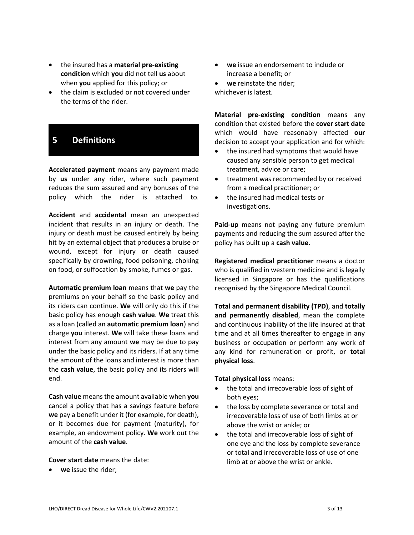- the insured has a **material pre-existing condition** which **you** did not tell **us** about when **you** applied for this policy; or
- the claim is excluded or not covered under the terms of the rider.

## **5 Definitions**

**Accelerated payment** means any payment made by **us** under any rider, where such payment reduces the sum assured and any bonuses of the policy which the rider is attached to.

**Accident** and **accidental** mean an unexpected incident that results in an injury or death. The injury or death must be caused entirely by being hit by an external object that produces a bruise or wound, except for injury or death caused specifically by drowning, food poisoning, choking on food, or suffocation by smoke, fumes or gas.

**Automatic premium loan** means that **we** pay the premiums on your behalf so the basic policy and its riders can continue. **We** will only do this if the basic policy has enough **cash value**. **We** treat this as a loan (called an **automatic premium loan**) and charge **you** interest. **We** will take these loans and interest from any amount **we** may be due to pay under the basic policy and its riders. If at any time the amount of the loans and interest is more than the **cash value**, the basic policy and its riders will end.

**Cash value** means the amount available when **you** cancel a policy that has a savings feature before **we** pay a benefit under it (for example, for death), or it becomes due for payment (maturity), for example, an endowment policy. **We** work out the amount of the **cash value**.

**Cover start date** means the date:

**we** issue the rider;

- **we** issue an endorsement to include or increase a benefit; or
- **we** reinstate the rider; whichever is latest.

**Material pre-existing condition** means any condition that existed before the **cover start date** which would have reasonably affected **our** decision to accept your application and for which:

- the insured had symptoms that would have caused any sensible person to get medical treatment, advice or care;
- **•** treatment was recommended by or received from a medical practitioner; or
- the insured had medical tests or investigations.

**Paid-up** means not paying any future premium payments and reducing the sum assured after the policy has built up a **cash value**.

**Registered medical practitioner** means a doctor who is qualified in western medicine and is legally licensed in Singapore or has the qualifications recognised by the Singapore Medical Council.

**Total and permanent disability (TPD)**, and **totally and permanently disabled**, mean the complete and continuous inability of the life insured at that time and at all times thereafter to engage in any business or occupation or perform any work of any kind for remuneration or profit, or **total physical loss**.

#### **Total physical loss** means:

- the total and irrecoverable loss of sight of both eyes;
- the loss by complete severance or total and irrecoverable loss of use of both limbs at or above the wrist or ankle; or
- the total and irrecoverable loss of sight of one eye and the loss by complete severance or total and irrecoverable loss of use of one limb at or above the wrist or ankle.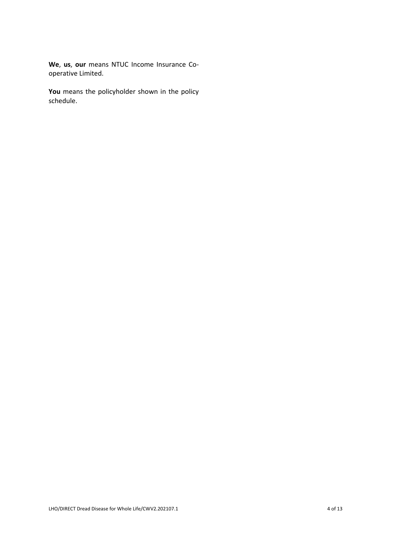**We**, **us**, **our** means NTUC Income Insurance Cooperative Limited.

**You** means the policyholder shown in the policy schedule.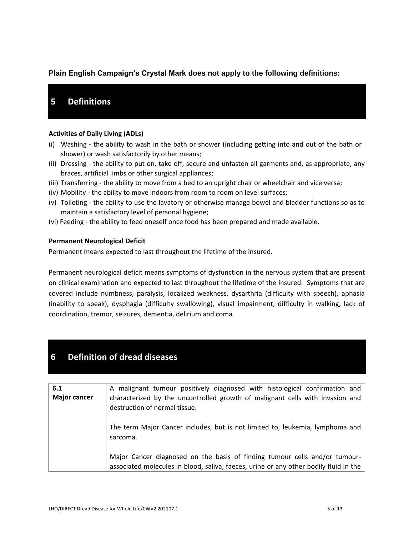### **Plain English Campaign's Crystal Mark does not apply to the following definitions:**

## **5 Definitions**

#### **Activities of Daily Living (ADLs)**

- (i) Washing the ability to wash in the bath or shower (including getting into and out of the bath or shower) or wash satisfactorily by other means;
- (ii) Dressing the ability to put on, take off, secure and unfasten all garments and, as appropriate, any braces, artificial limbs or other surgical appliances;
- (iii) Transferring the ability to move from a bed to an upright chair or wheelchair and vice versa;
- (iv) Mobility the ability to move indoors from room to room on level surfaces;
- (v) Toileting the ability to use the lavatory or otherwise manage bowel and bladder functions so as to maintain a satisfactory level of personal hygiene;
- (vi) Feeding the ability to feed oneself once food has been prepared and made available.

#### **Permanent Neurological Deficit**

Permanent means expected to last throughout the lifetime of the insured.

Permanent neurological deficit means symptoms of dysfunction in the nervous system that are present on clinical examination and expected to last throughout the lifetime of the insured. Symptoms that are covered include numbness, paralysis, localized weakness, dysarthria (difficulty with speech), aphasia (inability to speak), dysphagia (difficulty swallowing), visual impairment, difficulty in walking, lack of coordination, tremor, seizures, dementia, delirium and coma.

## **6 Definition of dread diseases**

| 6.1<br><b>Major cancer</b> | A malignant tumour positively diagnosed with histological confirmation and<br>characterized by the uncontrolled growth of malignant cells with invasion and<br>destruction of normal tissue. |
|----------------------------|----------------------------------------------------------------------------------------------------------------------------------------------------------------------------------------------|
|                            | The term Major Cancer includes, but is not limited to, leukemia, lymphoma and<br>sarcoma.                                                                                                    |
|                            | Major Cancer diagnosed on the basis of finding tumour cells and/or tumour-<br>associated molecules in blood, saliva, faeces, urine or any other bodily fluid in the                          |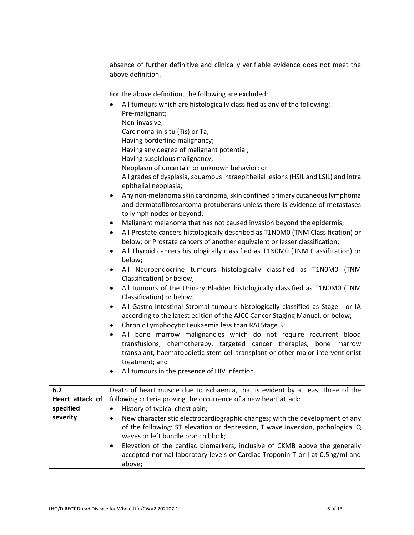| absence of further definitive and clinically verifiable evidence does not meet the                                                     |
|----------------------------------------------------------------------------------------------------------------------------------------|
| above definition.                                                                                                                      |
|                                                                                                                                        |
| For the above definition, the following are excluded:                                                                                  |
| All tumours which are histologically classified as any of the following:                                                               |
| Pre-malignant;                                                                                                                         |
| Non-invasive;                                                                                                                          |
| Carcinoma-in-situ (Tis) or Ta;                                                                                                         |
| Having borderline malignancy;                                                                                                          |
| Having any degree of malignant potential;                                                                                              |
| Having suspicious malignancy;                                                                                                          |
| Neoplasm of uncertain or unknown behavior; or                                                                                          |
| All grades of dysplasia, squamous intraepithelial lesions (HSIL and LSIL) and intra                                                    |
| epithelial neoplasia;                                                                                                                  |
| Any non-melanoma skin carcinoma, skin confined primary cutaneous lymphoma<br>$\bullet$                                                 |
| and dermatofibrosarcoma protuberans unless there is evidence of metastases                                                             |
| to lymph nodes or beyond;                                                                                                              |
| Malignant melanoma that has not caused invasion beyond the epidermis;<br>$\bullet$                                                     |
| All Prostate cancers histologically described as T1N0M0 (TNM Classification) or<br>$\bullet$                                           |
| below; or Prostate cancers of another equivalent or lesser classification;                                                             |
| All Thyroid cancers histologically classified as T1N0M0 (TNM Classification) or<br>$\bullet$                                           |
| below;                                                                                                                                 |
| All Neuroendocrine tumours histologically classified as T1N0M0 (TNM<br>$\bullet$                                                       |
| Classification) or below;                                                                                                              |
| All tumours of the Urinary Bladder histologically classified as T1N0M0 (TNM<br>$\bullet$                                               |
| Classification) or below;                                                                                                              |
| All Gastro-Intestinal Stromal tumours histologically classified as Stage I or IA<br>$\bullet$                                          |
| according to the latest edition of the AJCC Cancer Staging Manual, or below;                                                           |
| Chronic Lymphocytic Leukaemia less than RAI Stage 3;<br>$\bullet$<br>All bone marrow malignancies which do not require recurrent blood |
| $\bullet$<br>transfusions, chemotherapy, targeted cancer therapies, bone marrow                                                        |
| transplant, haematopoietic stem cell transplant or other major interventionist                                                         |
| treatment; and                                                                                                                         |
| All tumours in the presence of HIV infection.                                                                                          |
|                                                                                                                                        |

| 6.2             | Death of heart muscle due to ischaemia, that is evident by at least three of the                                                                                                                                                                                                                                                                                                  |
|-----------------|-----------------------------------------------------------------------------------------------------------------------------------------------------------------------------------------------------------------------------------------------------------------------------------------------------------------------------------------------------------------------------------|
| Heart attack of | following criteria proving the occurrence of a new heart attack:                                                                                                                                                                                                                                                                                                                  |
| specified       | History of typical chest pain;                                                                                                                                                                                                                                                                                                                                                    |
| severity        | New characteristic electrocardiographic changes; with the development of any<br>٠<br>of the following: ST elevation or depression, T wave inversion, pathological Q<br>waves or left bundle branch block;<br>Elevation of the cardiac biomarkers, inclusive of CKMB above the generally<br>accepted normal laboratory levels or Cardiac Troponin T or I at 0.5ng/ml and<br>above; |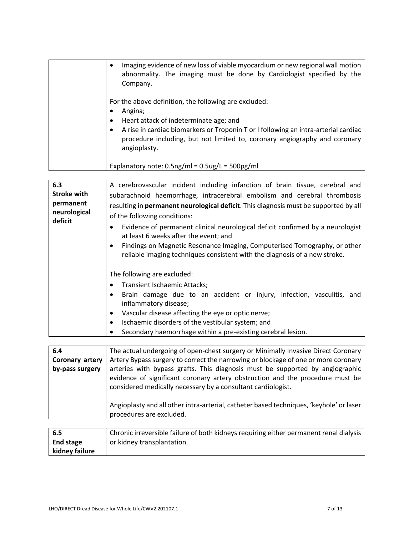| Imaging evidence of new loss of viable myocardium or new regional wall motion<br>abnormality. The imaging must be done by Cardiologist specified by the<br>Company.                                                                                                                                                                                         |
|-------------------------------------------------------------------------------------------------------------------------------------------------------------------------------------------------------------------------------------------------------------------------------------------------------------------------------------------------------------|
| For the above definition, the following are excluded:<br>Angina;<br>Heart attack of indeterminate age; and<br>A rise in cardiac biomarkers or Troponin T or I following an intra-arterial cardiac<br>procedure including, but not limited to, coronary angiography and coronary<br>angioplasty.<br>Explanatory note: $0.5$ ng/ml = $0.5$ ug/L = $500$ pg/ml |

| 6.3<br><b>Stroke with</b><br>permanent<br>neurological<br>deficit | A cerebrovascular incident including infarction of brain tissue, cerebral and<br>subarachnoid haemorrhage, intracerebral embolism and cerebral thrombosis<br>resulting in permanent neurological deficit. This diagnosis must be supported by all<br>of the following conditions:<br>Evidence of permanent clinical neurological deficit confirmed by a neurologist<br>at least 6 weeks after the event; and<br>Findings on Magnetic Resonance Imaging, Computerised Tomography, or other<br>reliable imaging techniques consistent with the diagnosis of a new stroke. |
|-------------------------------------------------------------------|-------------------------------------------------------------------------------------------------------------------------------------------------------------------------------------------------------------------------------------------------------------------------------------------------------------------------------------------------------------------------------------------------------------------------------------------------------------------------------------------------------------------------------------------------------------------------|
|                                                                   | The following are excluded:<br>Transient Ischaemic Attacks;<br>Brain damage due to an accident or injury, infection, vasculitis, and<br>inflammatory disease;<br>Vascular disease affecting the eye or optic nerve;<br>Ischaemic disorders of the vestibular system; and<br>Secondary haemorrhage within a pre-existing cerebral lesion.                                                                                                                                                                                                                                |

| 6.4             | The actual undergoing of open-chest surgery or Minimally Invasive Direct Coronary                                                                                                                                                                                                                                         |
|-----------------|---------------------------------------------------------------------------------------------------------------------------------------------------------------------------------------------------------------------------------------------------------------------------------------------------------------------------|
| Coronary artery | Artery Bypass surgery to correct the narrowing or blockage of one or more coronary                                                                                                                                                                                                                                        |
| by-pass surgery | arteries with bypass grafts. This diagnosis must be supported by angiographic<br>evidence of significant coronary artery obstruction and the procedure must be<br>considered medically necessary by a consultant cardiologist.<br>Angioplasty and all other intra-arterial, catheter based techniques, 'keyhole' or laser |
|                 | procedures are excluded.                                                                                                                                                                                                                                                                                                  |
|                 |                                                                                                                                                                                                                                                                                                                           |

| l 6.5            | Chronic irreversible failure of both kidneys requiring either permanent renal dialysis |
|------------------|----------------------------------------------------------------------------------------|
| <b>End stage</b> | or kidney transplantation.                                                             |
| kidney failure   |                                                                                        |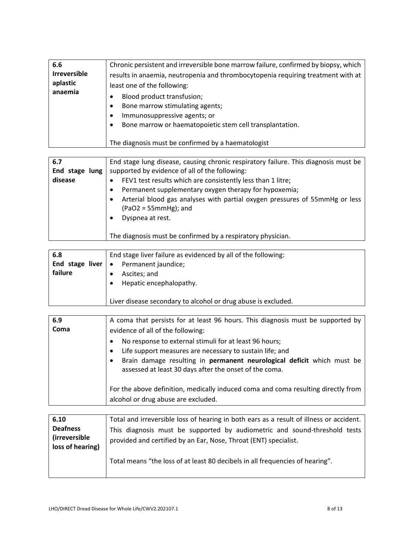| 6.6<br><b>Irreversible</b><br>aplastic<br>anaemia | Chronic persistent and irreversible bone marrow failure, confirmed by biopsy, which<br>results in anaemia, neutropenia and thrombocytopenia requiring treatment with at<br>least one of the following:<br>Blood product transfusion;<br>Bone marrow stimulating agents;<br>٠<br>Immunosuppressive agents; or<br>٠ |
|---------------------------------------------------|-------------------------------------------------------------------------------------------------------------------------------------------------------------------------------------------------------------------------------------------------------------------------------------------------------------------|
|                                                   | Bone marrow or haematopoietic stem cell transplantation.<br>٠                                                                                                                                                                                                                                                     |
|                                                   | The diagnosis must be confirmed by a haematologist                                                                                                                                                                                                                                                                |

| 6.7<br>End stage lung<br>disease | End stage lung disease, causing chronic respiratory failure. This diagnosis must be<br>supported by evidence of all of the following:<br>FEV1 test results which are consistently less than 1 litre;<br>Permanent supplementary oxygen therapy for hypoxemia;<br>Arterial blood gas analyses with partial oxygen pressures of 55mmHg or less<br>$(PaO2 = 55mmHg)$ ; and<br>Dyspnea at rest. |
|----------------------------------|---------------------------------------------------------------------------------------------------------------------------------------------------------------------------------------------------------------------------------------------------------------------------------------------------------------------------------------------------------------------------------------------|
|                                  | The diagnosis must be confirmed by a respiratory physician.                                                                                                                                                                                                                                                                                                                                 |

| 6.8                       | End stage liver failure as evidenced by all of the following: |
|---------------------------|---------------------------------------------------------------|
| End stage liver $\bullet$ | Permanent jaundice;                                           |
| failure                   | Ascites; and                                                  |
|                           | Hepatic encephalopathy.                                       |
|                           |                                                               |
|                           | Liver disease secondary to alcohol or drug abuse is excluded. |

| 6.9  | A coma that persists for at least 96 hours. This diagnosis must be supported by                                                                                                                                                                        |
|------|--------------------------------------------------------------------------------------------------------------------------------------------------------------------------------------------------------------------------------------------------------|
| Coma | evidence of all of the following:                                                                                                                                                                                                                      |
|      | No response to external stimuli for at least 96 hours;<br>Life support measures are necessary to sustain life; and<br>Brain damage resulting in permanent neurological deficit which must be<br>assessed at least 30 days after the onset of the coma. |
|      | For the above definition, medically induced coma and coma resulting directly from                                                                                                                                                                      |
|      | alcohol or drug abuse are excluded.                                                                                                                                                                                                                    |

| 6.10                                                         | Total and irreversible loss of hearing in both ears as a result of illness or accident.                                                       |
|--------------------------------------------------------------|-----------------------------------------------------------------------------------------------------------------------------------------------|
| <b>Deafness</b><br><i>(irreversible)</i><br>loss of hearing) | This diagnosis must be supported by audiometric and sound-threshold tests<br>provided and certified by an Ear, Nose, Throat (ENT) specialist. |
|                                                              | Total means "the loss of at least 80 decibels in all frequencies of hearing".                                                                 |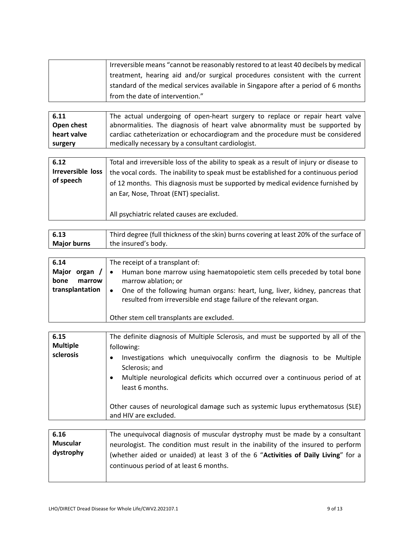| Irreversible means "cannot be reasonably restored to at least 40 decibels by medical |
|--------------------------------------------------------------------------------------|
| treatment, hearing aid and/or surgical procedures consistent with the current        |
| standard of the medical services available in Singapore after a period of 6 months   |
| from the date of intervention."                                                      |

**6.11 Open chest heart valve surgery** The actual undergoing of open-heart surgery to replace or repair heart valve abnormalities. The diagnosis of heart valve abnormality must be supported by cardiac catheterization or echocardiogram and the procedure must be considered medically necessary by a consultant cardiologist.

| 6.12                     | Total and irreversible loss of the ability to speak as a result of injury or disease to                                   |
|--------------------------|---------------------------------------------------------------------------------------------------------------------------|
| <b>Irreversible loss</b> | the vocal cords. The inability to speak must be established for a continuous period                                       |
| of speech                | of 12 months. This diagnosis must be supported by medical evidence furnished by<br>an Ear, Nose, Throat (ENT) specialist. |
|                          |                                                                                                                           |
|                          | All psychiatric related causes are excluded.                                                                              |

| 6.13               | Third degree (full thickness of the skin) burns covering at least 20% of the surface of |
|--------------------|-----------------------------------------------------------------------------------------|
| <b>Major burns</b> | the insured's body.                                                                     |

| 6.14                            | The receipt of a transplant of:                                                                                                                                  |
|---------------------------------|------------------------------------------------------------------------------------------------------------------------------------------------------------------|
| Major<br>organ<br>$\prime\cdot$ | Human bone marrow using haematopoietic stem cells preceded by total bone                                                                                         |
| bone<br>marrow                  | marrow ablation; or                                                                                                                                              |
| transplantation                 | One of the following human organs: heart, lung, liver, kidney, pancreas that<br>$\bullet$<br>resulted from irreversible end stage failure of the relevant organ. |
|                                 | Other stem cell transplants are excluded.                                                                                                                        |

| 6.15            | The definite diagnosis of Multiple Sclerosis, and must be supported by all of the                                                                                                                                                                                              |
|-----------------|--------------------------------------------------------------------------------------------------------------------------------------------------------------------------------------------------------------------------------------------------------------------------------|
| <b>Multiple</b> | following:                                                                                                                                                                                                                                                                     |
| sclerosis       | Investigations which unequivocally confirm the diagnosis to be Multiple<br>Sclerosis; and<br>Multiple neurological deficits which occurred over a continuous period of at<br>least 6 months.<br>Other causes of neurological damage such as systemic lupus erythematosus (SLE) |
|                 | and HIV are excluded.                                                                                                                                                                                                                                                          |
|                 |                                                                                                                                                                                                                                                                                |

| 6.16            | The unequivocal diagnosis of muscular dystrophy must be made by a consultant      |
|-----------------|-----------------------------------------------------------------------------------|
| <b>Muscular</b> | neurologist. The condition must result in the inability of the insured to perform |
| dystrophy       | (whether aided or unaided) at least 3 of the 6 "Activities of Daily Living" for a |
|                 | continuous period of at least 6 months.                                           |
|                 |                                                                                   |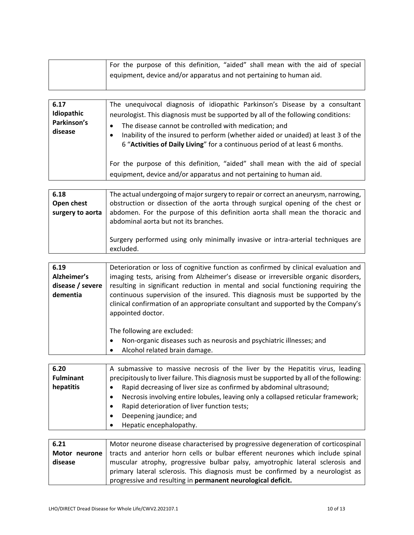| For the purpose of this definition, "aided" shall mean with the aid of special   |
|----------------------------------------------------------------------------------|
| <sup>1</sup> equipment, device and/or apparatus and not pertaining to human aid. |
|                                                                                  |

| 6.17<br>Idiopathic<br>Parkinson's<br>disease | The unequivocal diagnosis of idiopathic Parkinson's Disease by a consultant<br>neurologist. This diagnosis must be supported by all of the following conditions:<br>The disease cannot be controlled with medication; and<br>٠<br>Inability of the insured to perform (whether aided or unaided) at least 3 of the<br>6 "Activities of Daily Living" for a continuous period of at least 6 months. |
|----------------------------------------------|----------------------------------------------------------------------------------------------------------------------------------------------------------------------------------------------------------------------------------------------------------------------------------------------------------------------------------------------------------------------------------------------------|
|                                              | For the purpose of this definition, "aided" shall mean with the aid of special<br>equipment, device and/or apparatus and not pertaining to human aid.                                                                                                                                                                                                                                              |

| 6.18             | The actual undergoing of major surgery to repair or correct an aneurysm, narrowing,                                    |
|------------------|------------------------------------------------------------------------------------------------------------------------|
| Open chest       | obstruction or dissection of the aorta through surgical opening of the chest or                                        |
| surgery to aorta | abdomen. For the purpose of this definition aorta shall mean the thoracic and<br>abdominal aorta but not its branches. |
|                  | Surgery performed using only minimally invasive or intra-arterial techniques are<br>excluded.                          |

| 6.19             | Deterioration or loss of cognitive function as confirmed by clinical evaluation and                                                                                                      |
|------------------|------------------------------------------------------------------------------------------------------------------------------------------------------------------------------------------|
| Alzheimer's      | imaging tests, arising from Alzheimer's disease or irreversible organic disorders,                                                                                                       |
| disease / severe | resulting in significant reduction in mental and social functioning requiring the                                                                                                        |
| dementia         | continuous supervision of the insured. This diagnosis must be supported by the<br>clinical confirmation of an appropriate consultant and supported by the Company's<br>appointed doctor. |
|                  | The following are excluded:<br>Non-organic diseases such as neurosis and psychiatric illnesses; and<br>Alcohol related brain damage.                                                     |

| A submassive to massive necrosis of the liver by the Hepatitis virus, leading             |
|-------------------------------------------------------------------------------------------|
| precipitously to liver failure. This diagnosis must be supported by all of the following: |
| Rapid decreasing of liver size as confirmed by abdominal ultrasound;                      |
| Necrosis involving entire lobules, leaving only a collapsed reticular framework;          |
| Rapid deterioration of liver function tests;                                              |
| Deepening jaundice; and                                                                   |
| Hepatic encephalopathy.                                                                   |
|                                                                                           |

| 6.21    | Motor neurone disease characterised by progressive degeneration of corticospinal                |
|---------|-------------------------------------------------------------------------------------------------|
|         | Motor neurone   tracts and anterior horn cells or bulbar efferent neurones which include spinal |
| disease | muscular atrophy, progressive bulbar palsy, amyotrophic lateral sclerosis and                   |
|         | primary lateral sclerosis. This diagnosis must be confirmed by a neurologist as                 |
|         | progressive and resulting in permanent neurological deficit.                                    |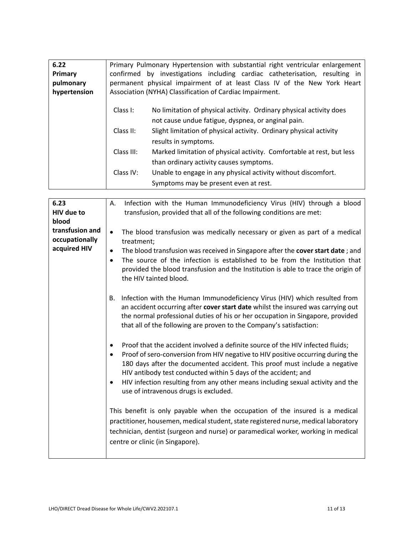| 6.22         |            | Primary Pulmonary Hypertension with substantial right ventricular enlargement |
|--------------|------------|-------------------------------------------------------------------------------|
| Primary      |            | confirmed by investigations including cardiac catheterisation, resulting in   |
| pulmonary    |            | permanent physical impairment of at least Class IV of the New York Heart      |
| hypertension |            | Association (NYHA) Classification of Cardiac Impairment.                      |
|              |            |                                                                               |
|              | Class I:   | No limitation of physical activity. Ordinary physical activity does           |
|              |            | not cause undue fatigue, dyspnea, or anginal pain.                            |
|              | Class II:  | Slight limitation of physical activity. Ordinary physical activity            |
|              |            | results in symptoms.                                                          |
|              | Class III: | Marked limitation of physical activity. Comfortable at rest, but less         |
|              |            | than ordinary activity causes symptoms.                                       |
|              | Class IV:  | Unable to engage in any physical activity without discomfort.                 |
|              |            |                                                                               |
|              |            | Symptoms may be present even at rest.                                         |

| 6.23              | Infection with the Human Immunodeficiency Virus (HIV) through a blood<br>Α.                                 |
|-------------------|-------------------------------------------------------------------------------------------------------------|
| <b>HIV</b> due to | transfusion, provided that all of the following conditions are met:                                         |
| blood             |                                                                                                             |
| transfusion and   | The blood transfusion was medically necessary or given as part of a medical<br>$\bullet$                    |
| occupationally    | treatment;                                                                                                  |
| acquired HIV      | The blood transfusion was received in Singapore after the cover start date; and<br>$\bullet$                |
|                   | The source of the infection is established to be from the Institution that                                  |
|                   | provided the blood transfusion and the Institution is able to trace the origin of<br>the HIV tainted blood. |
|                   | Infection with the Human Immunodeficiency Virus (HIV) which resulted from<br><b>B.</b>                      |
|                   | an accident occurring after cover start date whilst the insured was carrying out                            |
|                   | the normal professional duties of his or her occupation in Singapore, provided                              |
|                   | that all of the following are proven to the Company's satisfaction:                                         |
|                   |                                                                                                             |
|                   | Proof that the accident involved a definite source of the HIV infected fluids;                              |
|                   | Proof of sero-conversion from HIV negative to HIV positive occurring during the                             |
|                   | 180 days after the documented accident. This proof must include a negative                                  |
|                   | HIV antibody test conducted within 5 days of the accident; and                                              |
|                   | HIV infection resulting from any other means including sexual activity and the<br>$\bullet$                 |
|                   | use of intravenous drugs is excluded.                                                                       |
|                   |                                                                                                             |
|                   | This benefit is only payable when the occupation of the insured is a medical                                |
|                   | practitioner, housemen, medical student, state registered nurse, medical laboratory                         |
|                   | technician, dentist (surgeon and nurse) or paramedical worker, working in medical                           |
|                   | centre or clinic (in Singapore).                                                                            |
|                   |                                                                                                             |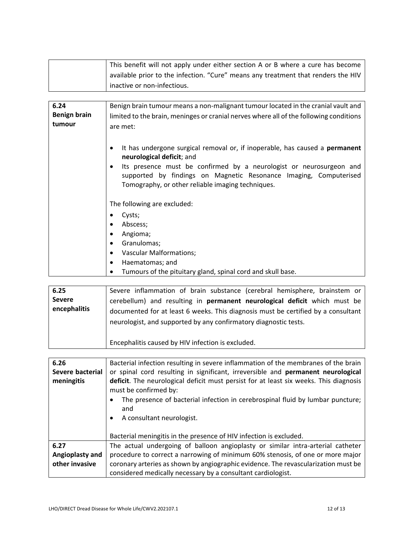| This benefit will not apply under either section A or B where a cure has become   |
|-----------------------------------------------------------------------------------|
| available prior to the infection. "Cure" means any treatment that renders the HIV |
| inactive or non-infectious.                                                       |

| 6.24                | Benign brain tumour means a non-malignant tumour located in the cranial vault and                                                                                                             |
|---------------------|-----------------------------------------------------------------------------------------------------------------------------------------------------------------------------------------------|
| <b>Benign brain</b> | limited to the brain, meninges or cranial nerves where all of the following conditions                                                                                                        |
| tumour              | are met:                                                                                                                                                                                      |
|                     |                                                                                                                                                                                               |
|                     | It has undergone surgical removal or, if inoperable, has caused a <b>permanent</b><br>neurological deficit; and                                                                               |
|                     | Its presence must be confirmed by a neurologist or neurosurgeon and<br>supported by findings on Magnetic Resonance Imaging, Computerised<br>Tomography, or other reliable imaging techniques. |
|                     | The following are excluded:                                                                                                                                                                   |
|                     | Cysts;                                                                                                                                                                                        |
|                     | Abscess;                                                                                                                                                                                      |
|                     | Angioma;                                                                                                                                                                                      |
|                     | Granulomas;                                                                                                                                                                                   |
|                     | <b>Vascular Malformations;</b><br>$\bullet$                                                                                                                                                   |
|                     | Haematomas; and<br>٠                                                                                                                                                                          |
|                     | Tumours of the pituitary gland, spinal cord and skull base.                                                                                                                                   |

| 6.25<br><b>Severe</b><br>encephalitis | Severe inflammation of brain substance (cerebral hemisphere, brainstem or<br>cerebellum) and resulting in <b>permanent neurological deficit</b> which must be<br>documented for at least 6 weeks. This diagnosis must be certified by a consultant<br>neurologist, and supported by any confirmatory diagnostic tests. |
|---------------------------------------|------------------------------------------------------------------------------------------------------------------------------------------------------------------------------------------------------------------------------------------------------------------------------------------------------------------------|
|                                       | Encephalitis caused by HIV infection is excluded.                                                                                                                                                                                                                                                                      |

| 6.26             | Bacterial infection resulting in severe inflammation of the membranes of the brain                                                                 |
|------------------|----------------------------------------------------------------------------------------------------------------------------------------------------|
| Severe bacterial | or spinal cord resulting in significant, irreversible and permanent neurological                                                                   |
| meningitis       | deficit. The neurological deficit must persist for at least six weeks. This diagnosis<br>must be confirmed by:                                     |
|                  | The presence of bacterial infection in cerebrospinal fluid by lumbar puncture;<br>and                                                              |
|                  | A consultant neurologist.                                                                                                                          |
|                  | Bacterial meningitis in the presence of HIV infection is excluded.                                                                                 |
| 6.27             | The actual undergoing of balloon angioplasty or similar intra-arterial catheter                                                                    |
| Angioplasty and  | procedure to correct a narrowing of minimum 60% stenosis, of one or more major                                                                     |
| other invasive   | coronary arteries as shown by angiographic evidence. The revascularization must be<br>considered medically necessary by a consultant cardiologist. |